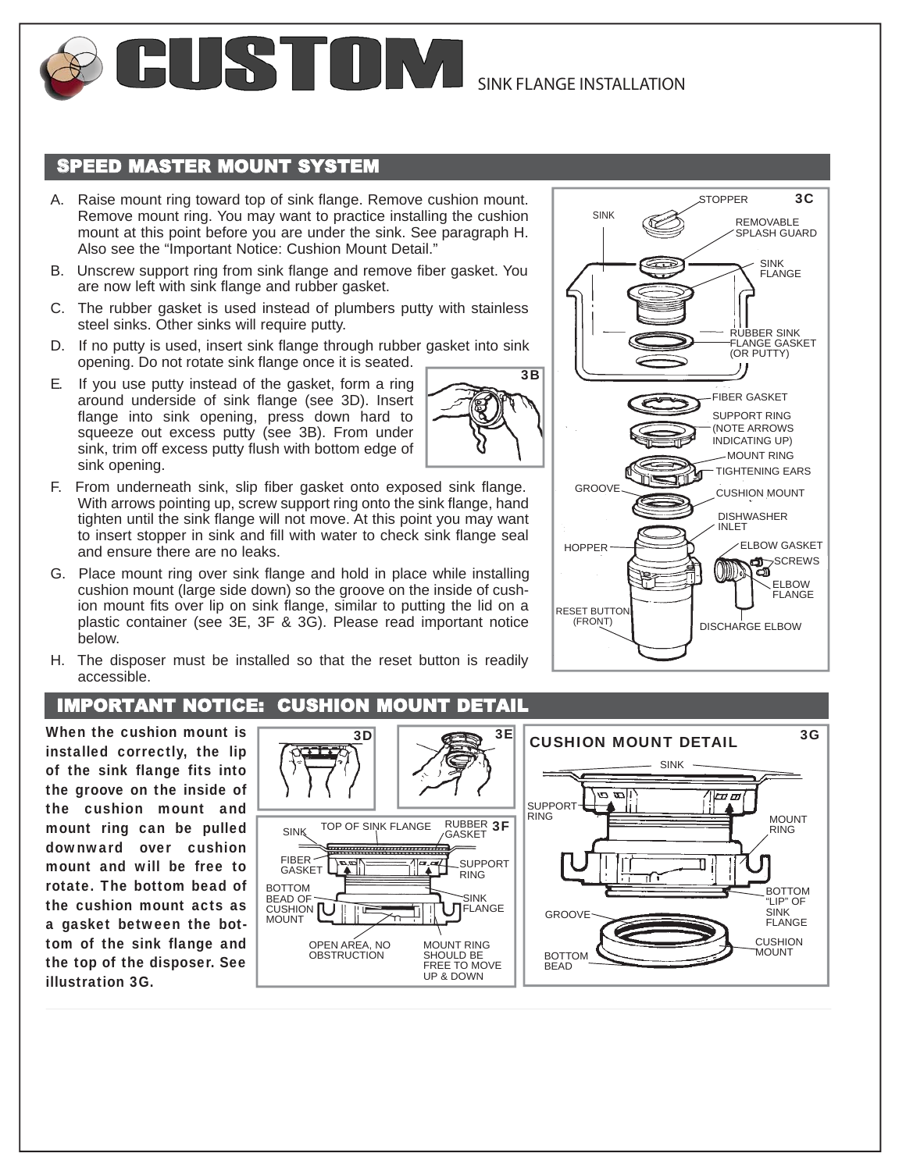

## SPEED MASTER MOUNT SYSTEM

- A. Raise mount ring toward top of sink flange. Remove cushion mount. Remove mount ring. You may want to practice installing the cushion mount at this point before you are under the sink. See paragraph H. Also see the "Important Notice: Cushion Mount Detail."
- B. Unscrew support ring from sink flange and remove fiber gasket. You are now left with sink flange and rubber gasket.
- C. The rubber gasket is used instead of plumbers putty with stainless steel sinks. Other sinks will require putty.
- D. If no putty is used, insert sink flange through rubber gasket into sink opening. Do not rotate sink flange once it is seated.
- E. If you use putty instead of the gasket, form a ring around underside of sink flange (see 3D). Insert flange into sink opening, press down hard to squeeze out excess putty (see 3B). From under sink, trim off excess putty flush with bottom edge of sink opening.
- F. From underneath sink, slip fiber gasket onto exposed sink flange. With arrows pointing up, screw support ring onto the sink flange, hand tighten until the sink flange will not move. At this point you may want to insert stopper in sink and fill with water to check sink flange seal and ensure there are no leaks.
- G. Place mount ring over sink flange and hold in place while installing cushion mount (large side down) so the groove on the inside of cushion mount fits over lip on sink flange, similar to putting the lid on a plastic container (see 3E, 3F & 3G). Please read important notice below.
- H. The disposer must be installed so that the reset button is readily accessible.

## IMPORTANT NOTICE: CUSHION MOUNT DETAIL

When the cushion mount is installed correctly, the lip of the sink flange fits into the groove on the inside of the cushion mount and mount ring can be pulled downward over cushion mount and will be free to rotate. The bottom bead of the cushion mount acts as a gasket between the bottom of the sink flange and the top of the disposer. See illustration 3G.